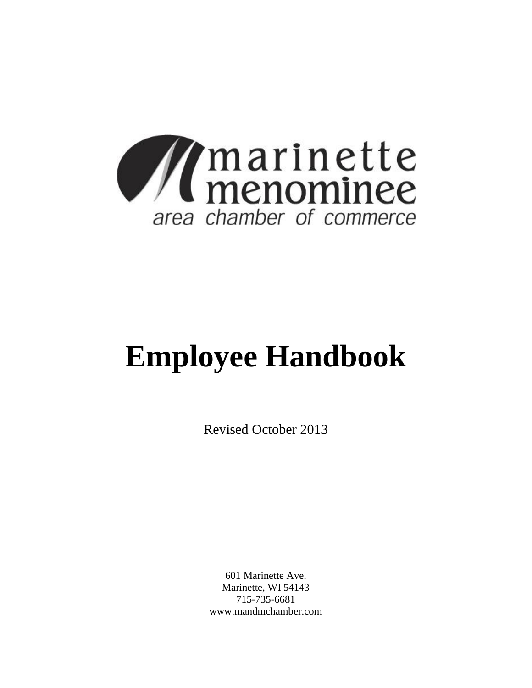

# **Employee Handbook**

Revised October 2013

601 Marinette Ave. Marinette, WI 54143 715-735-6681 www.mandmchamber.com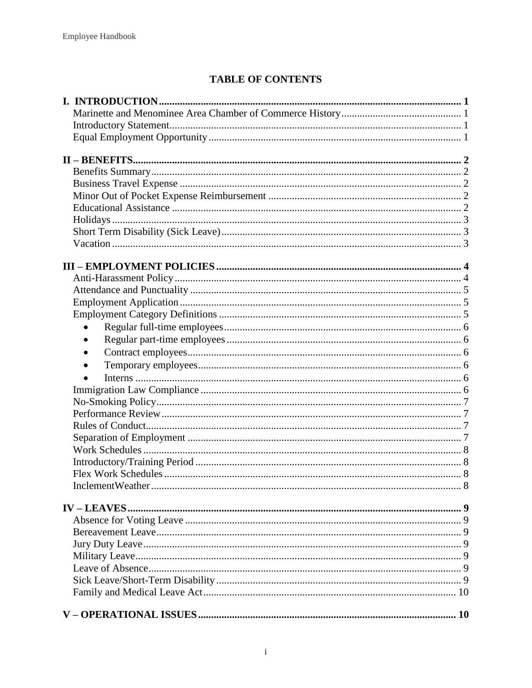# **TABLE OF CONTENTS**

| $\bullet$ |  |
|-----------|--|
|           |  |
| $\bullet$ |  |
|           |  |
|           |  |
|           |  |
|           |  |
|           |  |
|           |  |
|           |  |
|           |  |
|           |  |
|           |  |
|           |  |
|           |  |
|           |  |
|           |  |
|           |  |
|           |  |
|           |  |
|           |  |
|           |  |
|           |  |
|           |  |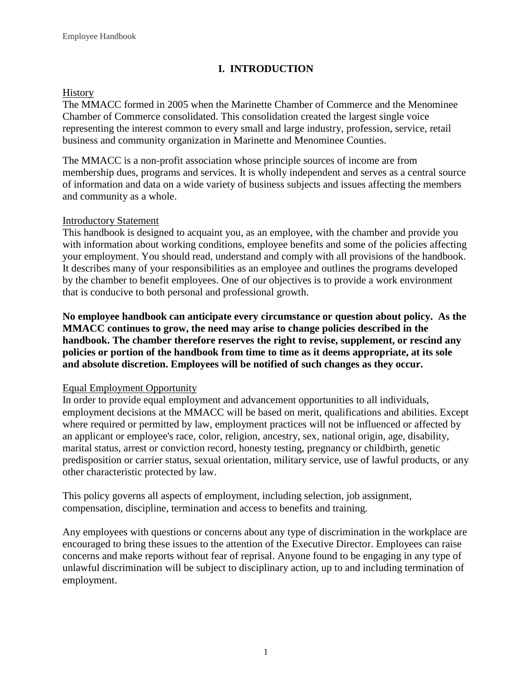# **I. INTRODUCTION**

# <span id="page-3-1"></span><span id="page-3-0"></span>**History**

The MMACC formed in 2005 when the Marinette Chamber of Commerce and the Menominee Chamber of Commerce consolidated. This consolidation created the largest single voice representing the interest common to every small and large industry, profession, service, retail business and community organization in Marinette and Menominee Counties.

The MMACC is a non-profit association whose principle sources of income are from membership dues, programs and services. It is wholly independent and serves as a central source of information and data on a wide variety of business subjects and issues affecting the members and community as a whole.

# <span id="page-3-2"></span>Introductory Statement

This handbook is designed to acquaint you, as an employee, with the chamber and provide you with information about working conditions, employee benefits and some of the policies affecting your employment. You should read, understand and comply with all provisions of the handbook. It describes many of your responsibilities as an employee and outlines the programs developed by the chamber to benefit employees. One of our objectives is to provide a work environment that is conducive to both personal and professional growth.

**No employee handbook can anticipate every circumstance or question about policy. As the MMACC continues to grow, the need may arise to change policies described in the handbook. The chamber therefore reserves the right to revise, supplement, or rescind any policies or portion of the handbook from time to time as it deems appropriate, at its sole and absolute discretion. Employees will be notified of such changes as they occur.** 

# <span id="page-3-3"></span>Equal Employment Opportunity

In order to provide equal employment and advancement opportunities to all individuals, employment decisions at the MMACC will be based on merit, qualifications and abilities. Except where required or permitted by law, employment practices will not be influenced or affected by an applicant or employee's race, color, religion, ancestry, sex, national origin, age, disability, marital status, arrest or conviction record, honesty testing, pregnancy or childbirth, genetic predisposition or carrier status, sexual orientation, military service, use of lawful products, or any other characteristic protected by law.

This policy governs all aspects of employment, including selection, job assignment, compensation, discipline, termination and access to benefits and training.

<span id="page-3-4"></span>Any employees with questions or concerns about any type of discrimination in the workplace are encouraged to bring these issues to the attention of the Executive Director. Employees can raise concerns and make reports without fear of reprisal. Anyone found to be engaging in any type of unlawful discrimination will be subject to disciplinary action, up to and including termination of employment.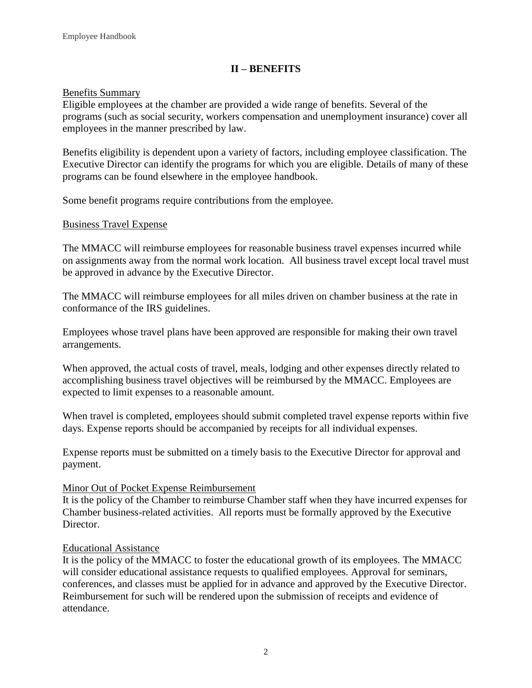# **II – BENEFITS**

## <span id="page-4-0"></span>Benefits Summary

Eligible employees at the chamber are provided a wide range of benefits. Several of the programs (such as social security, workers compensation and unemployment insurance) cover all employees in the manner prescribed by law.

Benefits eligibility is dependent upon a variety of factors, including employee classification. The Executive Director can identify the programs for which you are eligible. Details of many of these programs can be found elsewhere in the employee handbook.

Some benefit programs require contributions from the employee.

# <span id="page-4-1"></span>Business Travel Expense

The MMACC will reimburse employees for reasonable business travel expenses incurred while on assignments away from the normal work location. All business travel except local travel must be approved in advance by the Executive Director.

The MMACC will reimburse employees for all miles driven on chamber business at the rate in conformance of the IRS guidelines.

Employees whose travel plans have been approved are responsible for making their own travel arrangements.

When approved, the actual costs of travel, meals, lodging and other expenses directly related to accomplishing business travel objectives will be reimbursed by the MMACC. Employees are expected to limit expenses to a reasonable amount.

When travel is completed, employees should submit completed travel expense reports within five days. Expense reports should be accompanied by receipts for all individual expenses.

Expense reports must be submitted on a timely basis to the Executive Director for approval and payment.

## Minor Out of Pocket Expense Reimbursement

It is the policy of the Chamber to reimburse Chamber staff when they have incurred expenses for Chamber business-related activities. All reports must be formally approved by the Executive Director.

## <span id="page-4-2"></span>Educational Assistance

It is the policy of the MMACC to foster the educational growth of its employees. The MMACC will consider educational assistance requests to qualified employees. Approval for seminars, conferences, and classes must be applied for in advance and approved by the Executive Director. Reimbursement for such will be rendered upon the submission of receipts and evidence of attendance.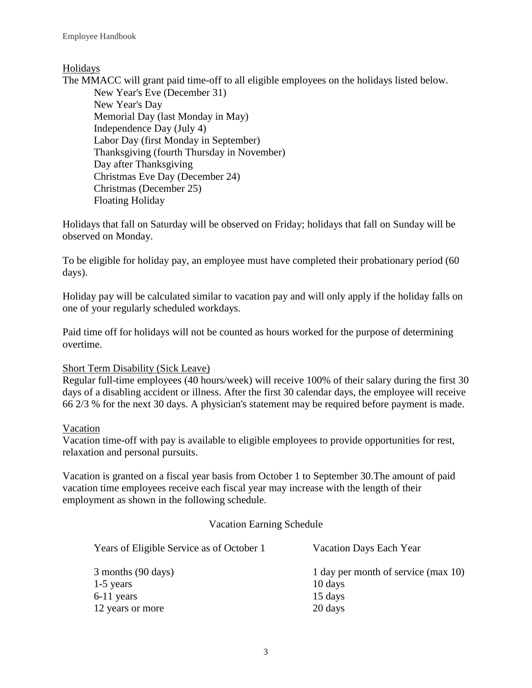# <span id="page-5-0"></span>Holidays

The MMACC will grant paid time-off to all eligible employees on the holidays listed below. New Year's Eve (December 31) New Year's Day Memorial Day (last Monday in May) Independence Day (July 4) Labor Day (first Monday in September) Thanksgiving (fourth Thursday in November) Day after Thanksgiving Christmas Eve Day (December 24) Christmas (December 25) Floating Holiday

Holidays that fall on Saturday will be observed on Friday; holidays that fall on Sunday will be observed on Monday.

To be eligible for holiday pay, an employee must have completed their probationary period (60 days).

Holiday pay will be calculated similar to vacation pay and will only apply if the holiday falls on one of your regularly scheduled workdays.

Paid time off for holidays will not be counted as hours worked for the purpose of determining overtime.

# <span id="page-5-1"></span>Short Term Disability (Sick Leave)

Regular full-time employees (40 hours/week) will receive 100% of their salary during the first 30 days of a disabling accident or illness. After the first 30 calendar days, the employee will receive 66 2/3 % for the next 30 days. A physician's statement may be required before payment is made.

# <span id="page-5-2"></span>Vacation

Vacation time-off with pay is available to eligible employees to provide opportunities for rest, relaxation and personal pursuits.

Vacation is granted on a fiscal year basis from October 1 to September 30.The amount of paid vacation time employees receive each fiscal year may increase with the length of their employment as shown in the following schedule.

# Vacation Earning Schedule

| Years of Eligible Service as of October 1 | Vacation Days Each Year             |  |  |
|-------------------------------------------|-------------------------------------|--|--|
| 3 months (90 days)                        | 1 day per month of service (max 10) |  |  |
| $1-5$ years                               | 10 days                             |  |  |
| $6-11$ years                              | 15 days                             |  |  |
| 12 years or more                          | 20 days                             |  |  |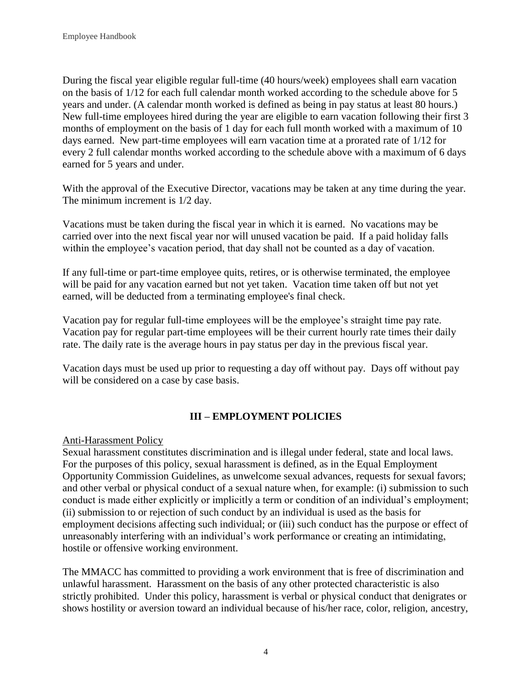During the fiscal year eligible regular full-time (40 hours/week) employees shall earn vacation on the basis of 1/12 for each full calendar month worked according to the schedule above for 5 years and under. (A calendar month worked is defined as being in pay status at least 80 hours.) New full-time employees hired during the year are eligible to earn vacation following their first 3 months of employment on the basis of 1 day for each full month worked with a maximum of 10 days earned. New part-time employees will earn vacation time at a prorated rate of 1/12 for every 2 full calendar months worked according to the schedule above with a maximum of 6 days earned for 5 years and under.

With the approval of the Executive Director, vacations may be taken at any time during the year. The minimum increment is 1/2 day.

Vacations must be taken during the fiscal year in which it is earned. No vacations may be carried over into the next fiscal year nor will unused vacation be paid. If a paid holiday falls within the employee's vacation period, that day shall not be counted as a day of vacation.

If any full-time or part-time employee quits, retires, or is otherwise terminated, the employee will be paid for any vacation earned but not yet taken. Vacation time taken off but not yet earned, will be deducted from a terminating employee's final check.

Vacation pay for regular full-time employees will be the employee's straight time pay rate. Vacation pay for regular part-time employees will be their current hourly rate times their daily rate. The daily rate is the average hours in pay status per day in the previous fiscal year.

Vacation days must be used up prior to requesting a day off without pay. Days off without pay will be considered on a case by case basis.

# **III – EMPLOYMENT POLICIES**

## <span id="page-6-1"></span><span id="page-6-0"></span>Anti-Harassment Policy

Sexual harassment constitutes discrimination and is illegal under federal, state and local laws. For the purposes of this policy, sexual harassment is defined, as in the Equal Employment Opportunity Commission Guidelines, as unwelcome sexual advances, requests for sexual favors; and other verbal or physical conduct of a sexual nature when, for example: (i) submission to such conduct is made either explicitly or implicitly a term or condition of an individual's employment; (ii) submission to or rejection of such conduct by an individual is used as the basis for employment decisions affecting such individual; or (iii) such conduct has the purpose or effect of unreasonably interfering with an individual's work performance or creating an intimidating, hostile or offensive working environment.

The MMACC has committed to providing a work environment that is free of discrimination and unlawful harassment. Harassment on the basis of any other protected characteristic is also strictly prohibited. Under this policy, harassment is verbal or physical conduct that denigrates or shows hostility or aversion toward an individual because of his/her race, color, religion, ancestry,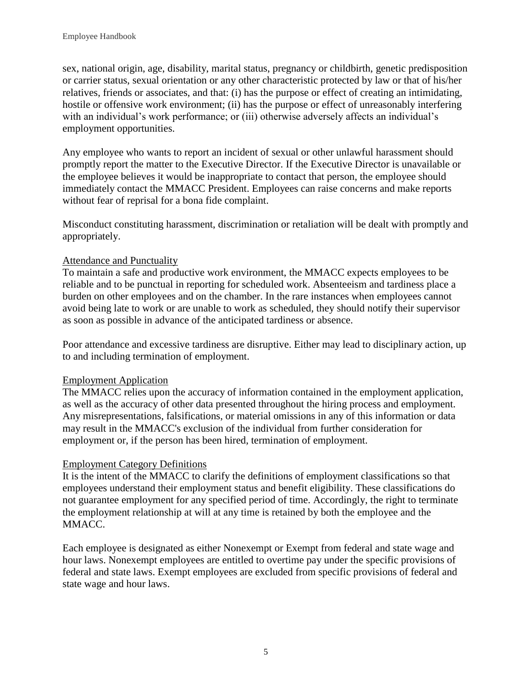sex, national origin, age, disability, marital status, pregnancy or childbirth, genetic predisposition or carrier status, sexual orientation or any other characteristic protected by law or that of his/her relatives, friends or associates, and that: (i) has the purpose or effect of creating an intimidating, hostile or offensive work environment; (ii) has the purpose or effect of unreasonably interfering with an individual's work performance; or (iii) otherwise adversely affects an individual's employment opportunities.

Any employee who wants to report an incident of sexual or other unlawful harassment should promptly report the matter to the Executive Director. If the Executive Director is unavailable or the employee believes it would be inappropriate to contact that person, the employee should immediately contact the MMACC President. Employees can raise concerns and make reports without fear of reprisal for a bona fide complaint.

Misconduct constituting harassment, discrimination or retaliation will be dealt with promptly and appropriately.

# <span id="page-7-0"></span>Attendance and Punctuality

To maintain a safe and productive work environment, the MMACC expects employees to be reliable and to be punctual in reporting for scheduled work. Absenteeism and tardiness place a burden on other employees and on the chamber. In the rare instances when employees cannot avoid being late to work or are unable to work as scheduled, they should notify their supervisor as soon as possible in advance of the anticipated tardiness or absence.

Poor attendance and excessive tardiness are disruptive. Either may lead to disciplinary action, up to and including termination of employment.

## <span id="page-7-1"></span>Employment Application

The MMACC relies upon the accuracy of information contained in the employment application, as well as the accuracy of other data presented throughout the hiring process and employment. Any misrepresentations, falsifications, or material omissions in any of this information or data may result in the MMACC's exclusion of the individual from further consideration for employment or, if the person has been hired, termination of employment.

# <span id="page-7-2"></span>Employment Category Definitions

It is the intent of the MMACC to clarify the definitions of employment classifications so that employees understand their employment status and benefit eligibility. These classifications do not guarantee employment for any specified period of time. Accordingly, the right to terminate the employment relationship at will at any time is retained by both the employee and the MMACC.

Each employee is designated as either Nonexempt or Exempt from federal and state wage and hour laws. Nonexempt employees are entitled to overtime pay under the specific provisions of federal and state laws. Exempt employees are excluded from specific provisions of federal and state wage and hour laws.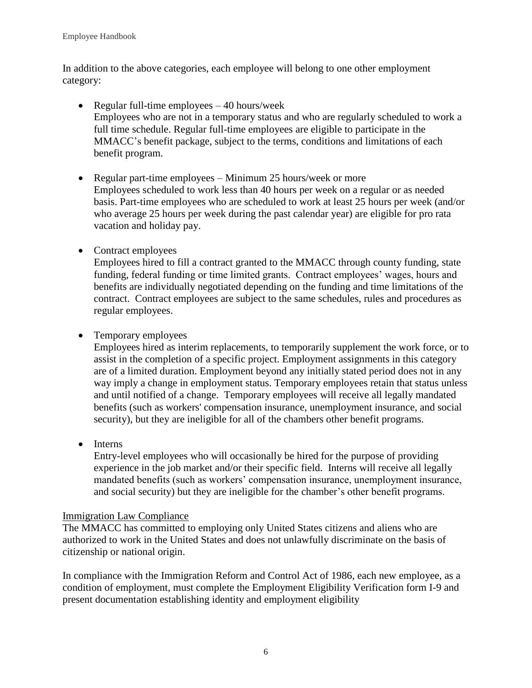In addition to the above categories, each employee will belong to one other employment category:

- <span id="page-8-0"></span>• Regular full-time employees  $-40$  hours/week Employees who are not in a temporary status and who are regularly scheduled to work a full time schedule. Regular full-time employees are eligible to participate in the MMACC's benefit package, subject to the terms, conditions and limitations of each benefit program.
- <span id="page-8-1"></span>• Regular part-time employees – Minimum 25 hours/week or more Employees scheduled to work less than 40 hours per week on a regular or as needed basis. Part-time employees who are scheduled to work at least 25 hours per week (and/or who average 25 hours per week during the past calendar year) are eligible for pro rata vacation and holiday pay.
- <span id="page-8-2"></span>• Contract employees

Employees hired to fill a contract granted to the MMACC through county funding, state funding, federal funding or time limited grants. Contract employees' wages, hours and benefits are individually negotiated depending on the funding and time limitations of the contract. Contract employees are subject to the same schedules, rules and procedures as regular employees.

<span id="page-8-3"></span>• Temporary employees

Employees hired as interim replacements, to temporarily supplement the work force, or to assist in the completion of a specific project. Employment assignments in this category are of a limited duration. Employment beyond any initially stated period does not in any way imply a change in employment status. Temporary employees retain that status unless and until notified of a change. Temporary employees will receive all legally mandated benefits (such as workers' compensation insurance, unemployment insurance, and social security), but they are ineligible for all of the chambers other benefit programs.

<span id="page-8-4"></span>• Interns

Entry-level employees who will occasionally be hired for the purpose of providing experience in the job market and/or their specific field. Interns will receive all legally mandated benefits (such as workers' compensation insurance, unemployment insurance, and social security) but they are ineligible for the chamber's other benefit programs.

# <span id="page-8-5"></span>Immigration Law Compliance

The MMACC has committed to employing only United States citizens and aliens who are authorized to work in the United States and does not unlawfully discriminate on the basis of citizenship or national origin.

In compliance with the Immigration Reform and Control Act of 1986, each new employee, as a condition of employment, must complete the Employment Eligibility Verification form I-9 and present documentation establishing identity and employment eligibility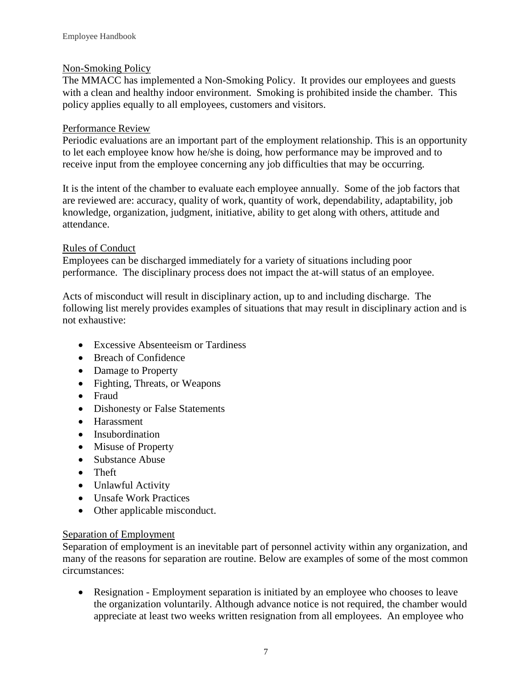# Non-Smoking Policy

The MMACC has implemented a Non-Smoking Policy. It provides our employees and guests with a clean and healthy indoor environment. Smoking is prohibited inside the chamber. This policy applies equally to all employees, customers and visitors.

# <span id="page-9-0"></span>Performance Review

Periodic evaluations are an important part of the employment relationship. This is an opportunity to let each employee know how he/she is doing, how performance may be improved and to receive input from the employee concerning any job difficulties that may be occurring.

It is the intent of the chamber to evaluate each employee annually. Some of the job factors that are reviewed are: accuracy, quality of work, quantity of work, dependability, adaptability, job knowledge, organization, judgment, initiative, ability to get along with others, attitude and attendance.

# <span id="page-9-1"></span>Rules of Conduct

Employees can be discharged immediately for a variety of situations including poor performance. The disciplinary process does not impact the at-will status of an employee.

Acts of misconduct will result in disciplinary action, up to and including discharge. The following list merely provides examples of situations that may result in disciplinary action and is not exhaustive:

- Excessive Absenteeism or Tardiness
- Breach of Confidence
- Damage to Property
- Fighting, Threats, or Weapons
- Fraud
- Dishonesty or False Statements
- Harassment
- Insubordination
- Misuse of Property
- Substance Abuse
- Theft
- Unlawful Activity
- Unsafe Work Practices
- Other applicable misconduct.

## <span id="page-9-2"></span>Separation of Employment

Separation of employment is an inevitable part of personnel activity within any organization, and many of the reasons for separation are routine. Below are examples of some of the most common circumstances:

 Resignation - Employment separation is initiated by an employee who chooses to leave the organization voluntarily. Although advance notice is not required, the chamber would appreciate at least two weeks written resignation from all employees. An employee who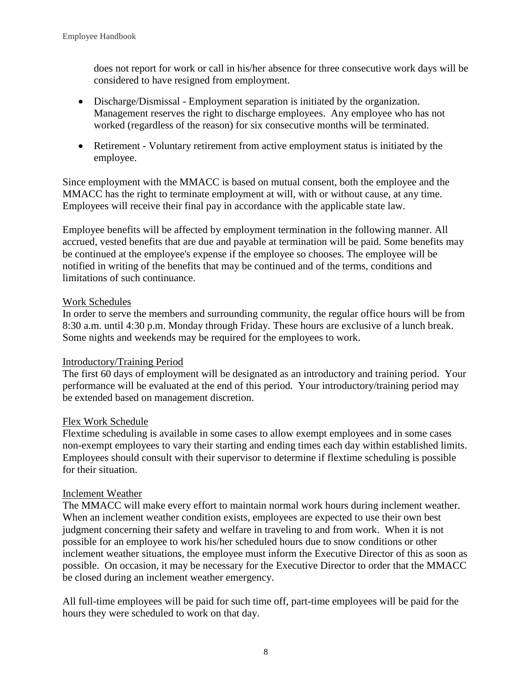does not report for work or call in his/her absence for three consecutive work days will be considered to have resigned from employment.

- Discharge/Dismissal Employment separation is initiated by the organization. Management reserves the right to discharge employees. Any employee who has not worked (regardless of the reason) for six consecutive months will be terminated.
- Retirement Voluntary retirement from active employment status is initiated by the employee.

Since employment with the MMACC is based on mutual consent, both the employee and the MMACC has the right to terminate employment at will, with or without cause, at any time. Employees will receive their final pay in accordance with the applicable state law.

Employee benefits will be affected by employment termination in the following manner. All accrued, vested benefits that are due and payable at termination will be paid. Some benefits may be continued at the employee's expense if the employee so chooses. The employee will be notified in writing of the benefits that may be continued and of the terms, conditions and limitations of such continuance.

# <span id="page-10-0"></span>Work Schedules

In order to serve the members and surrounding community, the regular office hours will be from 8:30 a.m. until 4:30 p.m. Monday through Friday. These hours are exclusive of a lunch break. Some nights and weekends may be required for the employees to work.

# Introductory/Training Period

The first 60 days of employment will be designated as an introductory and training period. Your performance will be evaluated at the end of this period. Your introductory/training period may be extended based on management discretion.

## Flex Work Schedule

Flextime scheduling is available in some cases to allow exempt employees and in some cases non-exempt employees to vary their starting and ending times each day within established limits. Employees should consult with their supervisor to determine if flextime scheduling is possible for their situation.

## Inclement Weather

The MMACC will make every effort to maintain normal work hours during inclement weather. When an inclement weather condition exists, employees are expected to use their own best judgment concerning their safety and welfare in traveling to and from work. When it is not possible for an employee to work his/her scheduled hours due to snow conditions or other inclement weather situations, the employee must inform the Executive Director of this as soon as possible. On occasion, it may be necessary for the Executive Director to order that the MMACC be closed during an inclement weather emergency.

All full-time employees will be paid for such time off, part-time employees will be paid for the hours they were scheduled to work on that day.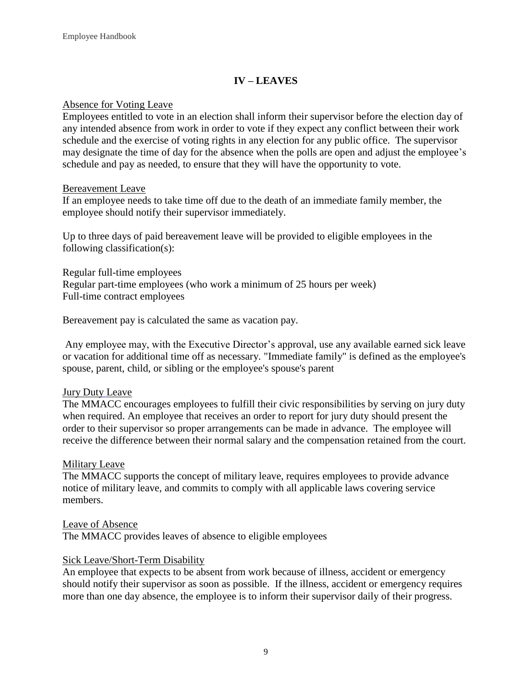# **IV – LEAVES**

## <span id="page-11-1"></span><span id="page-11-0"></span>Absence for Voting Leave

Employees entitled to vote in an election shall inform their supervisor before the election day of any intended absence from work in order to vote if they expect any conflict between their work schedule and the exercise of voting rights in any election for any public office. The supervisor may designate the time of day for the absence when the polls are open and adjust the employee's schedule and pay as needed, to ensure that they will have the opportunity to vote.

#### <span id="page-11-2"></span>Bereavement Leave

If an employee needs to take time off due to the death of an immediate family member, the employee should notify their supervisor immediately.

Up to three days of paid bereavement leave will be provided to eligible employees in the following classification(s):

Regular full-time employees Regular part-time employees (who work a minimum of 25 hours per week) Full-time contract employees

Bereavement pay is calculated the same as vacation pay.

Any employee may, with the Executive Director's approval, use any available earned sick leave or vacation for additional time off as necessary. "Immediate family" is defined as the employee's spouse, parent, child, or sibling or the employee's spouse's parent

## <span id="page-11-3"></span>Jury Duty Leave

The MMACC encourages employees to fulfill their civic responsibilities by serving on jury duty when required. An employee that receives an order to report for jury duty should present the order to their supervisor so proper arrangements can be made in advance. The employee will receive the difference between their normal salary and the compensation retained from the court.

## <span id="page-11-4"></span>Military Leave

The MMACC supports the concept of military leave, requires employees to provide advance notice of military leave, and commits to comply with all applicable laws covering service members.

Leave of Absence The MMACC provides leaves of absence to eligible employees

## Sick Leave/Short-Term Disability

An employee that expects to be absent from work because of illness, accident or emergency should notify their supervisor as soon as possible. If the illness, accident or emergency requires more than one day absence, the employee is to inform their supervisor daily of their progress.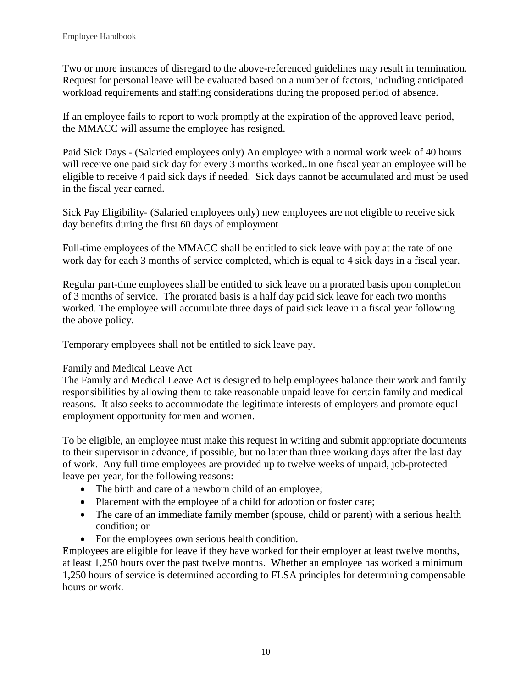Two or more instances of disregard to the above-referenced guidelines may result in termination. Request for personal leave will be evaluated based on a number of factors, including anticipated workload requirements and staffing considerations during the proposed period of absence.

If an employee fails to report to work promptly at the expiration of the approved leave period, the MMACC will assume the employee has resigned.

Paid Sick Days - (Salaried employees only) An employee with a normal work week of 40 hours will receive one paid sick day for every 3 months worked..In one fiscal year an employee will be eligible to receive 4 paid sick days if needed. Sick days cannot be accumulated and must be used in the fiscal year earned.

Sick Pay Eligibility- (Salaried employees only) new employees are not eligible to receive sick day benefits during the first 60 days of employment

Full-time employees of the MMACC shall be entitled to sick leave with pay at the rate of one work day for each 3 months of service completed, which is equal to 4 sick days in a fiscal year.

Regular part-time employees shall be entitled to sick leave on a prorated basis upon completion of 3 months of service. The prorated basis is a half day paid sick leave for each two months worked. The employee will accumulate three days of paid sick leave in a fiscal year following the above policy.

Temporary employees shall not be entitled to sick leave pay.

# <span id="page-12-0"></span>Family and Medical Leave Act

The Family and Medical Leave Act is designed to help employees balance their work and family responsibilities by allowing them to take reasonable unpaid leave for certain family and medical reasons. It also seeks to accommodate the legitimate interests of employers and promote equal employment opportunity for men and women.

To be eligible, an employee must make this request in writing and submit appropriate documents to their supervisor in advance, if possible, but no later than three working days after the last day of work. Any full time employees are provided up to twelve weeks of unpaid, job-protected leave per year, for the following reasons:

- The birth and care of a newborn child of an employee;
- Placement with the employee of a child for adoption or foster care;
- The care of an immediate family member (spouse, child or parent) with a serious health condition; or
- For the employees own serious health condition.

Employees are eligible for leave if they have worked for their employer at least twelve months, at least 1,250 hours over the past twelve months. Whether an employee has worked a minimum 1,250 hours of service is determined according to FLSA principles for determining compensable hours or work.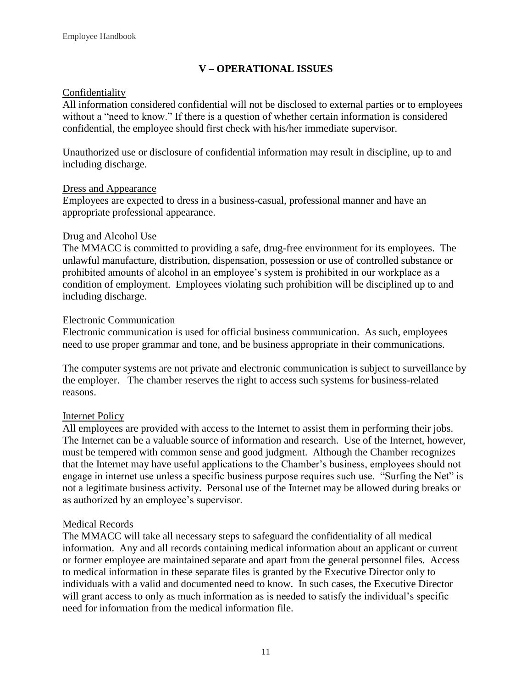# **V – OPERATIONAL ISSUES**

# <span id="page-13-0"></span>Confidentiality

All information considered confidential will not be disclosed to external parties or to employees without a "need to know." If there is a question of whether certain information is considered confidential, the employee should first check with his/her immediate supervisor.

Unauthorized use or disclosure of confidential information may result in discipline, up to and including discharge.

## <span id="page-13-1"></span>Dress and Appearance

Employees are expected to dress in a business-casual, professional manner and have an appropriate professional appearance.

# Drug and Alcohol Use

The MMACC is committed to providing a safe, drug-free environment for its employees. The unlawful manufacture, distribution, dispensation, possession or use of controlled substance or prohibited amounts of alcohol in an employee's system is prohibited in our workplace as a condition of employment. Employees violating such prohibition will be disciplined up to and including discharge.

# <span id="page-13-2"></span>Electronic Communication

Electronic communication is used for official business communication. As such, employees need to use proper grammar and tone, and be business appropriate in their communications.

The computer systems are not private and electronic communication is subject to surveillance by the employer. The chamber reserves the right to access such systems for business-related reasons.

# Internet Policy

All employees are provided with access to the Internet to assist them in performing their jobs. The Internet can be a valuable source of information and research. Use of the Internet, however, must be tempered with common sense and good judgment. Although the Chamber recognizes that the Internet may have useful applications to the Chamber's business, employees should not engage in internet use unless a specific business purpose requires such use. "Surfing the Net" is not a legitimate business activity. Personal use of the Internet may be allowed during breaks or as authorized by an employee's supervisor.

## <span id="page-13-3"></span>Medical Records

The MMACC will take all necessary steps to safeguard the confidentiality of all medical information. Any and all records containing medical information about an applicant or current or former employee are maintained separate and apart from the general personnel files. Access to medical information in these separate files is granted by the Executive Director only to individuals with a valid and documented need to know. In such cases, the Executive Director will grant access to only as much information as is needed to satisfy the individual's specific need for information from the medical information file.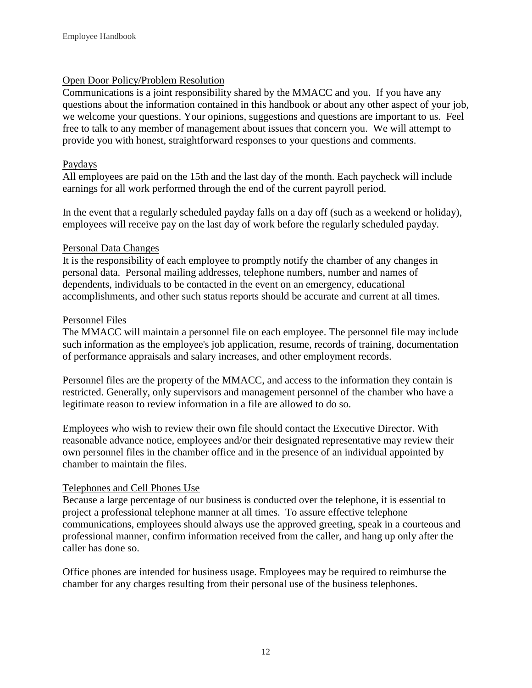# <span id="page-14-0"></span>Open Door Policy/Problem Resolution

Communications is a joint responsibility shared by the MMACC and you. If you have any questions about the information contained in this handbook or about any other aspect of your job, we welcome your questions. Your opinions, suggestions and questions are important to us. Feel free to talk to any member of management about issues that concern you. We will attempt to provide you with honest, straightforward responses to your questions and comments.

## <span id="page-14-1"></span>Paydays

All employees are paid on the 15th and the last day of the month. Each paycheck will include earnings for all work performed through the end of the current payroll period.

In the event that a regularly scheduled payday falls on a day off (such as a weekend or holiday), employees will receive pay on the last day of work before the regularly scheduled payday.

## <span id="page-14-2"></span>Personal Data Changes

It is the responsibility of each employee to promptly notify the chamber of any changes in personal data. Personal mailing addresses, telephone numbers, number and names of dependents, individuals to be contacted in the event on an emergency, educational accomplishments, and other such status reports should be accurate and current at all times.

## <span id="page-14-3"></span>Personnel Files

The MMACC will maintain a personnel file on each employee. The personnel file may include such information as the employee's job application, resume, records of training, documentation of performance appraisals and salary increases, and other employment records.

Personnel files are the property of the MMACC, and access to the information they contain is restricted. Generally, only supervisors and management personnel of the chamber who have a legitimate reason to review information in a file are allowed to do so.

Employees who wish to review their own file should contact the Executive Director. With reasonable advance notice, employees and/or their designated representative may review their own personnel files in the chamber office and in the presence of an individual appointed by chamber to maintain the files.

## <span id="page-14-4"></span>Telephones and Cell Phones Use

Because a large percentage of our business is conducted over the telephone, it is essential to project a professional telephone manner at all times. To assure effective telephone communications, employees should always use the approved greeting, speak in a courteous and professional manner, confirm information received from the caller, and hang up only after the caller has done so.

<span id="page-14-5"></span>Office phones are intended for business usage. Employees may be required to reimburse the chamber for any charges resulting from their personal use of the business telephones.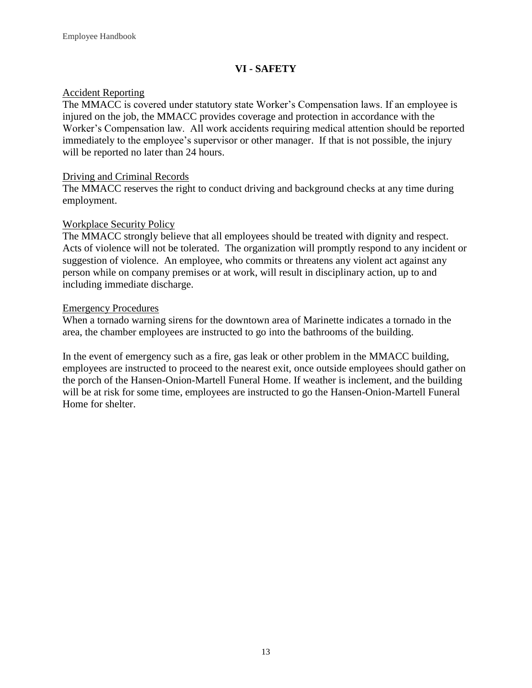# **VI - SAFETY**

## <span id="page-15-0"></span>Accident Reporting

The MMACC is covered under statutory state Worker's Compensation laws. If an employee is injured on the job, the MMACC provides coverage and protection in accordance with the Worker's Compensation law. All work accidents requiring medical attention should be reported immediately to the employee's supervisor or other manager. If that is not possible, the injury will be reported no later than 24 hours.

# <span id="page-15-1"></span>Driving and Criminal Records

The MMACC reserves the right to conduct driving and background checks at any time during employment.

# <span id="page-15-2"></span>Workplace Security Policy

The MMACC strongly believe that all employees should be treated with dignity and respect. Acts of violence will not be tolerated. The organization will promptly respond to any incident or suggestion of violence. An employee, who commits or threatens any violent act against any person while on company premises or at work, will result in disciplinary action, up to and including immediate discharge.

## Emergency Procedures

When a tornado warning sirens for the downtown area of Marinette indicates a tornado in the area, the chamber employees are instructed to go into the bathrooms of the building.

<span id="page-15-3"></span>In the event of emergency such as a fire, gas leak or other problem in the MMACC building, employees are instructed to proceed to the nearest exit, once outside employees should gather on the porch of the Hansen-Onion-Martell Funeral Home. If weather is inclement, and the building will be at risk for some time, employees are instructed to go the Hansen-Onion-Martell Funeral Home for shelter.